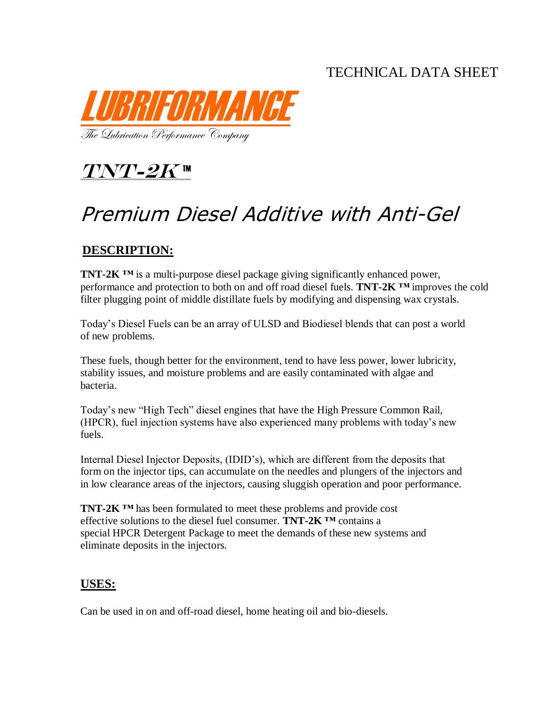## TECHNICAL DATA SHEET



 $TNT$ - $2K$   $<sup>m</sup>$ </sup>

# Premium Diesel Additive with Anti-Gel

### **DESCRIPTION:**

**TNT-2K** *™* is a multi-purpose diesel package giving significantly enhanced power, performance and protection to both on and off road diesel fuels. **TNT-2K** *™* improves the cold filter plugging point of middle distillate fuels by modifying and dispensing wax crystals.

Today's Diesel Fuels can be an array of ULSD and Biodiesel blends that can post a world of new problems.

These fuels, though better for the environment, tend to have less power, lower lubricity, stability issues, and moisture problems and are easily contaminated with algae and bacteria.

Today's new "High Tech" diesel engines that have the High Pressure Common Rail, (HPCR), fuel injection systems have also experienced many problems with today's new fuels.

Internal Diesel Injector Deposits, (IDID's), which are different from the deposits that form on the injector tips, can accumulate on the needles and plungers of the injectors and in low clearance areas of the injectors, causing sluggish operation and poor performance.

**TNT-2K** *™* has been formulated to meet these problems and provide cost effective solutions to the diesel fuel consumer. **TNT-2K** *™* contains a special HPCR Detergent Package to meet the demands of these new systems and eliminate deposits in the injectors.

#### **USES:**

Can be used in on and off-road diesel, home heating oil and bio-diesels.